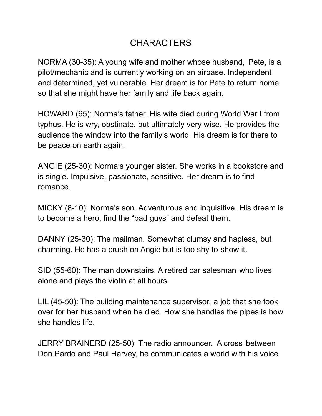## **CHARACTERS**

NORMA (30-35): A young wife and mother whose husband, Pete, is a pilot/mechanic and is currently working on an airbase. Independent and determined, yet vulnerable. Her dream is for Pete to return home so that she might have her family and life back again.

HOWARD (65): Norma's father. His wife died during World War I from typhus. He is wry, obstinate, but ultimately very wise. He provides the audience the window into the family's world. His dream is for there to be peace on earth again.

ANGIE (25-30): Norma's younger sister. She works in a bookstore and is single. Impulsive, passionate, sensitive. Her dream is to find romance.

MICKY (8-10): Norma's son. Adventurous and inquisitive. His dream is to become a hero, find the "bad guys" and defeat them.

DANNY (25-30): The mailman. Somewhat clumsy and hapless, but charming. He has a crush on Angie but is too shy to show it.

SID (55-60): The man downstairs. A retired car salesman who lives alone and plays the violin at all hours.

LIL (45-50): The building maintenance supervisor, a job that she took over for her husband when he died. How she handles the pipes is how she handles life.

JERRY BRAINERD (25-50): The radio announcer. A cross between Don Pardo and Paul Harvey, he communicates a world with his voice.